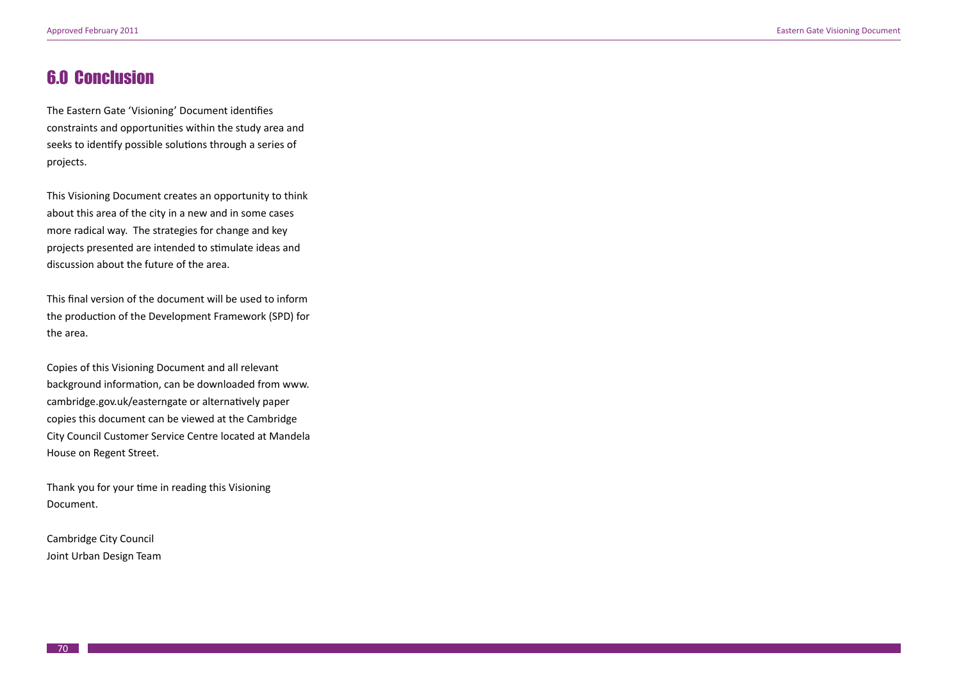## 6.0 Conclusion

The Eastern Gate 'Visioning' Document identifies constraints and opportunities within the study area and seeks to identify possible solutions through a series of projects.

This Visioning Document creates an opportunity to think about this area of the city in a new and in some cases more radical way. The strategies for change and key projects presented are intended to stimulate ideas and discussion about the future of the area.

This final version of the document will be used to inform the production of the Development Framework (SPD) for the area.

Copies of this Visioning Document and all relevant background information, can be downloaded from www. cambridge.gov.uk/easterngate or alternatively paper copies this document can be viewed at the Cambridge City Council Customer Service Centre located at Mandela House on Regent Street.

Thank you for your time in reading this Visioning Document.

Cambridge City Council Joint Urban Design Team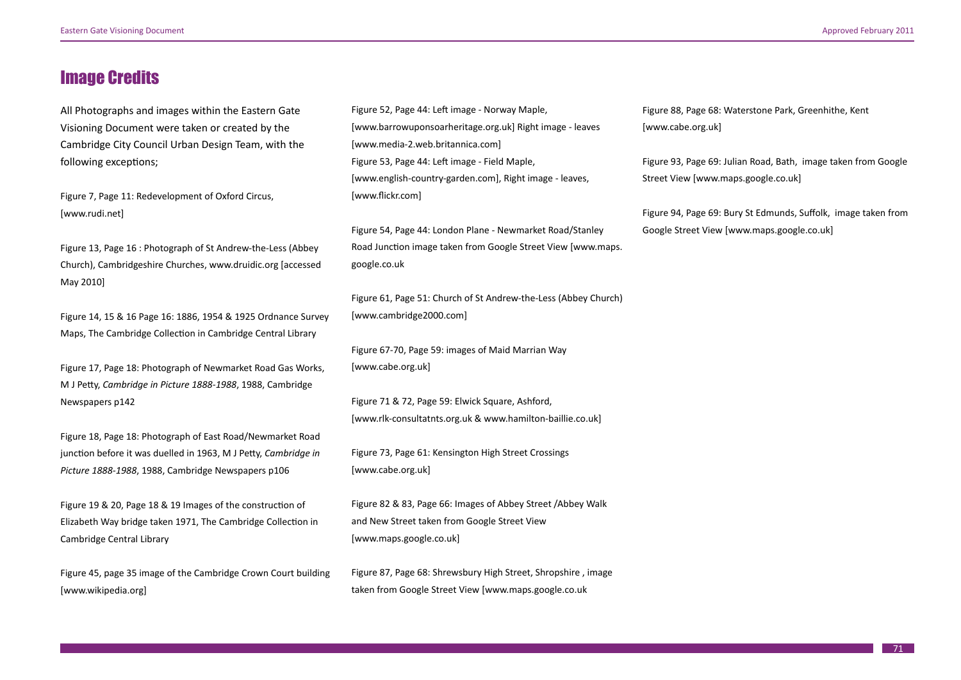## Image Credits

All Photographs and images within the Eastern Gate Visioning Document were taken or created by the Cambridge City Council Urban Design Team, with the following exceptions;

Figure 7, Page 11: Redevelopment of Oxford Circus, [www.rudi.net]

Figure 13, Page 16 : Photograph of St Andrew-the-Less (Abbey Church), Cambridgeshire Churches, www.druidic.org [accessed May 2010]

Figure 14, 15 & 16 Page 16: 1886, 1954 & 1925 Ordnance Survey Maps, The Cambridge Collection in Cambridge Central Library

Figure 17, Page 18: Photograph of Newmarket Road Gas Works, M J Petty, *Cambridge in Picture 1888-1988*, 1988, Cambridge Newspapers p142

Figure 18, Page 18: Photograph of East Road/Newmarket Road junction before it was duelled in 1963, M J Petty, *Cambridge in Picture 1888-1988*, 1988, Cambridge Newspapers p106

Figure 19 & 20, Page 18 & 19 Images of the construction of Elizabeth Way bridge taken 1971, The Cambridge Collection in Cambridge Central Library

Figure 45, page 35 image of the Cambridge Crown Court building [www.wikipedia.org]

Figure 52, Page 44: Left image - Norway Maple, [www.barrowuponsoarheritage.org.uk] Right image - leaves [www.media-2.web.britannica.com] Figure 53, Page 44: Left image - Field Maple, [www.english-country-garden.com], Right image - leaves, [www.flickr.com]

Figure 54, Page 44: London Plane - Newmarket Road/Stanley Road Junction image taken from Google Street View [www.maps. google.co.uk

Figure 61, Page 51: Church of St Andrew-the-Less (Abbey Church) [www.cambridge2000.com]

Figure 67-70, Page 59: images of Maid Marrian Way [www.cabe.org.uk]

Figure 71 & 72, Page 59: Elwick Square, Ashford, [www.rlk-consultatnts.org.uk & www.hamilton-baillie.co.uk]

Figure 73, Page 61: Kensington High Street Crossings [www.cabe.org.uk]

Figure 82 & 83, Page 66: Images of Abbey Street /Abbey Walk and New Street taken from Google Street View [www.maps.google.co.uk]

Figure 87, Page 68: Shrewsbury High Street, Shropshire , image taken from Google Street View [www.maps.google.co.uk

Figure 88, Page 68: Waterstone Park, Greenhithe, Kent [www.cabe.org.uk]

Figure 93, Page 69: Julian Road, Bath, image taken from Google Street View [www.maps.google.co.uk]

Figure 94, Page 69: Bury St Edmunds, Suffolk, image taken from Google Street View [www.maps.google.co.uk]